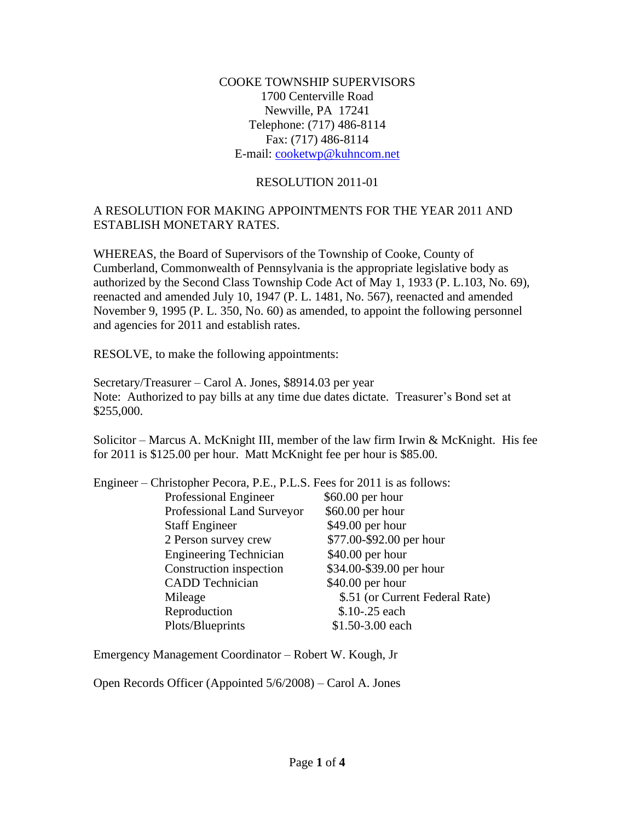COOKE TOWNSHIP SUPERVISORS 1700 Centerville Road Newville, PA 17241 Telephone: (717) 486-8114 Fax: (717) 486-8114 E-mail: [cooketwp@kuhncom.net](mailto:cooketwp@kuhncom.net)

## RESOLUTION 2011-01

## A RESOLUTION FOR MAKING APPOINTMENTS FOR THE YEAR 2011 AND ESTABLISH MONETARY RATES.

WHEREAS, the Board of Supervisors of the Township of Cooke, County of Cumberland, Commonwealth of Pennsylvania is the appropriate legislative body as authorized by the Second Class Township Code Act of May 1, 1933 (P. L.103, No. 69), reenacted and amended July 10, 1947 (P. L. 1481, No. 567), reenacted and amended November 9, 1995 (P. L. 350, No. 60) as amended, to appoint the following personnel and agencies for 2011 and establish rates.

RESOLVE, to make the following appointments:

Secretary/Treasurer – Carol A. Jones, \$8914.03 per year Note: Authorized to pay bills at any time due dates dictate. Treasurer's Bond set at \$255,000.

Solicitor – Marcus A. McKnight III, member of the law firm Irwin & McKnight. His fee for 2011 is \$125.00 per hour. Matt McKnight fee per hour is \$85.00.

| Engineer – Christopher Pecora, P.E., P.L.S. Fees for 2011 is as follows: |                                 |
|--------------------------------------------------------------------------|---------------------------------|
| Professional Engineer                                                    | $$60.00$ per hour               |
| Professional Land Surveyor                                               | $$60.00$ per hour               |
| <b>Staff Engineer</b>                                                    | \$49.00 per hour                |
| 2 Person survey crew                                                     | \$77.00-\$92.00 per hour        |
| <b>Engineering Technician</b>                                            | $$40.00$ per hour               |
| Construction inspection                                                  | \$34.00-\$39.00 per hour        |
| <b>CADD</b> Technician                                                   | $$40.00$ per hour               |
| Mileage                                                                  | \$.51 (or Current Federal Rate) |
| Reproduction                                                             | \$.10-.25 each                  |
| Plots/Blueprints                                                         | \$1.50-3.00 each                |
|                                                                          |                                 |

Emergency Management Coordinator – Robert W. Kough, Jr

Open Records Officer (Appointed 5/6/2008) – Carol A. Jones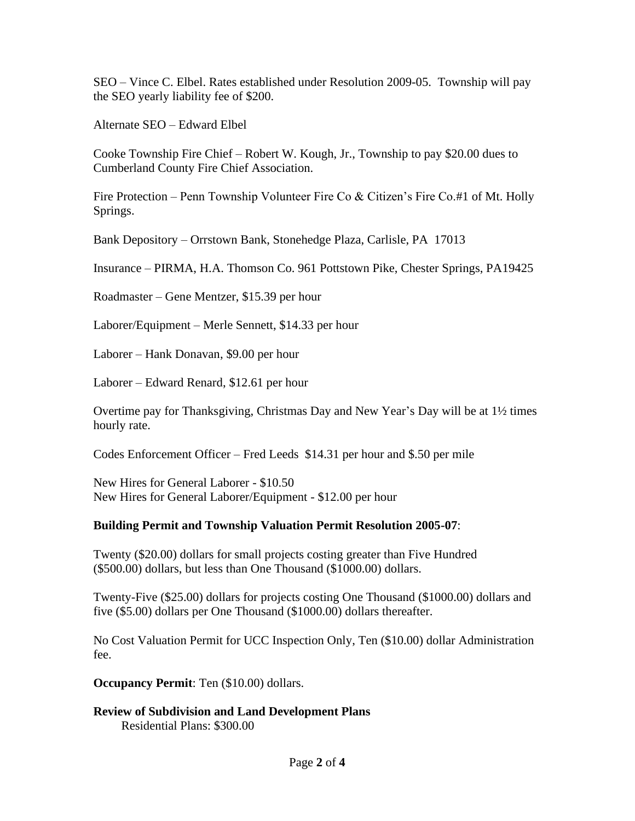SEO – Vince C. Elbel. Rates established under Resolution 2009-05. Township will pay the SEO yearly liability fee of \$200.

Alternate SEO – Edward Elbel

Cooke Township Fire Chief – Robert W. Kough, Jr., Township to pay \$20.00 dues to Cumberland County Fire Chief Association.

Fire Protection – Penn Township Volunteer Fire Co & Citizen's Fire Co.#1 of Mt. Holly Springs.

Bank Depository – Orrstown Bank, Stonehedge Plaza, Carlisle, PA 17013

Insurance – PIRMA, H.A. Thomson Co. 961 Pottstown Pike, Chester Springs, PA19425

Roadmaster – Gene Mentzer, \$15.39 per hour

Laborer/Equipment – Merle Sennett, \$14.33 per hour

Laborer – Hank Donavan, \$9.00 per hour

Laborer – Edward Renard, \$12.61 per hour

Overtime pay for Thanksgiving, Christmas Day and New Year's Day will be at 1½ times hourly rate.

Codes Enforcement Officer – Fred Leeds \$14.31 per hour and \$.50 per mile

New Hires for General Laborer - \$10.50 New Hires for General Laborer/Equipment - \$12.00 per hour

## **Building Permit and Township Valuation Permit Resolution 2005-07**:

Twenty (\$20.00) dollars for small projects costing greater than Five Hundred (\$500.00) dollars, but less than One Thousand (\$1000.00) dollars.

Twenty-Five (\$25.00) dollars for projects costing One Thousand (\$1000.00) dollars and five (\$5.00) dollars per One Thousand (\$1000.00) dollars thereafter.

No Cost Valuation Permit for UCC Inspection Only, Ten (\$10.00) dollar Administration fee.

**Occupancy Permit**: Ten (\$10.00) dollars.

## **Review of Subdivision and Land Development Plans** Residential Plans: \$300.00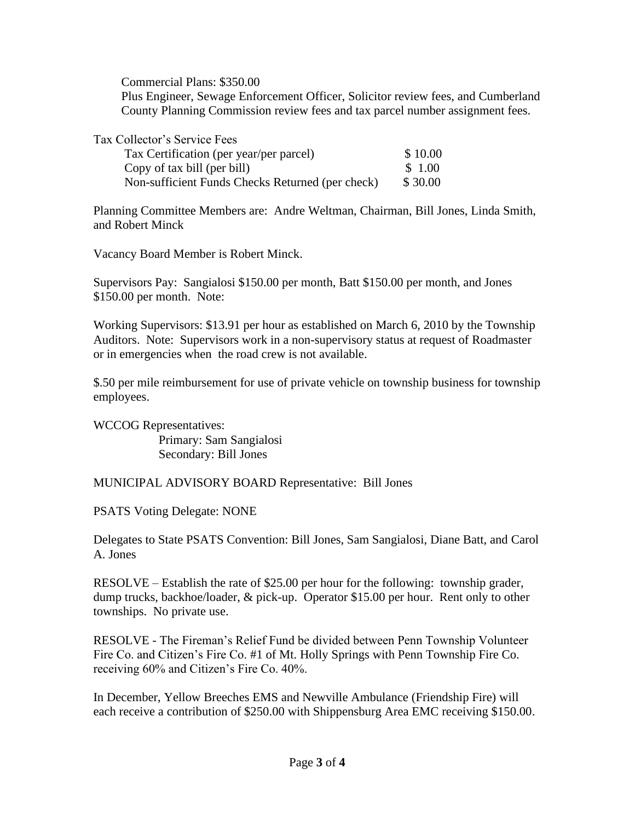Commercial Plans: \$350.00

 Plus Engineer, Sewage Enforcement Officer, Solicitor review fees, and Cumberland County Planning Commission review fees and tax parcel number assignment fees.

| Tax Collector's Service Fees |  |
|------------------------------|--|
|------------------------------|--|

| Tax Certification (per year/per parcel)          | \$10.00 |
|--------------------------------------------------|---------|
| Copy of tax bill (per bill)                      | \$ 1.00 |
| Non-sufficient Funds Checks Returned (per check) | \$30.00 |

Planning Committee Members are: Andre Weltman, Chairman, Bill Jones, Linda Smith, and Robert Minck

Vacancy Board Member is Robert Minck.

Supervisors Pay: Sangialosi \$150.00 per month, Batt \$150.00 per month, and Jones \$150.00 per month. Note:

Working Supervisors: \$13.91 per hour as established on March 6, 2010 by the Township Auditors. Note: Supervisors work in a non-supervisory status at request of Roadmaster or in emergencies when the road crew is not available.

\$.50 per mile reimbursement for use of private vehicle on township business for township employees.

WCCOG Representatives: Primary: Sam Sangialosi Secondary: Bill Jones

MUNICIPAL ADVISORY BOARD Representative: Bill Jones

PSATS Voting Delegate: NONE

Delegates to State PSATS Convention: Bill Jones, Sam Sangialosi, Diane Batt, and Carol A. Jones

RESOLVE – Establish the rate of \$25.00 per hour for the following: township grader, dump trucks, backhoe/loader, & pick-up. Operator \$15.00 per hour. Rent only to other townships. No private use.

RESOLVE - The Fireman's Relief Fund be divided between Penn Township Volunteer Fire Co. and Citizen's Fire Co. #1 of Mt. Holly Springs with Penn Township Fire Co. receiving 60% and Citizen's Fire Co. 40%.

In December, Yellow Breeches EMS and Newville Ambulance (Friendship Fire) will each receive a contribution of \$250.00 with Shippensburg Area EMC receiving \$150.00.